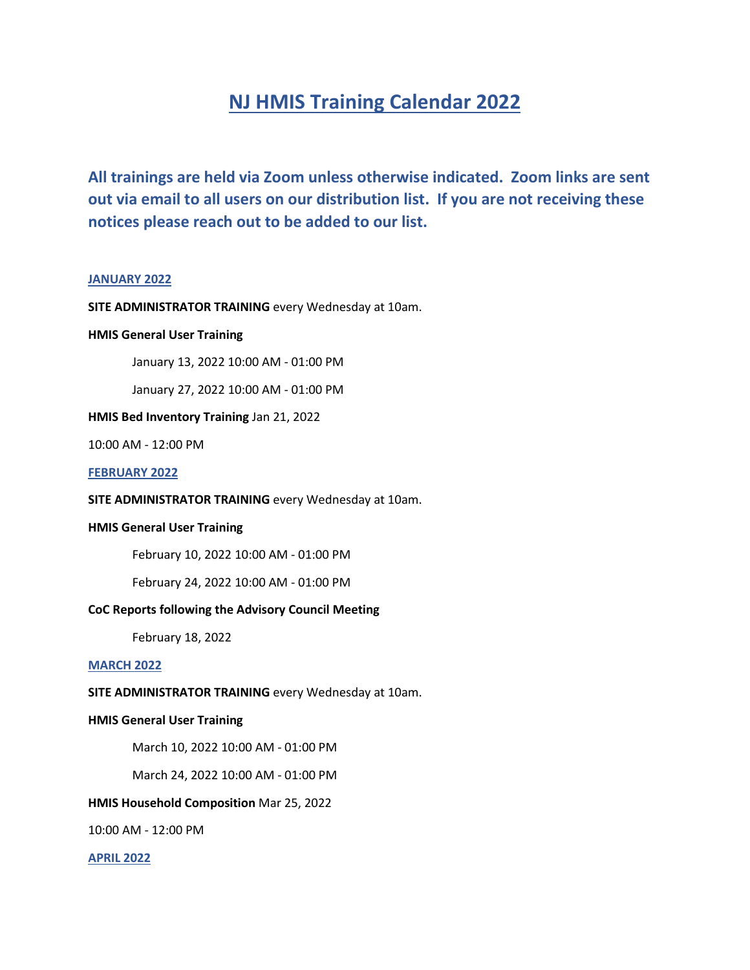# **NJ HMIS Training Calendar 2022**

**All trainings are held via Zoom unless otherwise indicated. Zoom links are sent out via email to all users on our distribution list. If you are not receiving these notices please reach out to be added to our list.**

#### **JANUARY 2022**

# **SITE ADMINISTRATOR TRAINING** every Wednesday at 10am.

# **HMIS General User Training**

January 13, 2022 10:00 AM - 01:00 PM

January 27, 2022 10:00 AM - 01:00 PM

# **HMIS Bed Inventory Training** Jan 21, 2022

10:00 AM - 12:00 PM

#### **FEBRUARY 2022**

**SITE ADMINISTRATOR TRAINING** every Wednesday at 10am.

# **HMIS General User Training**

February 10, 2022 10:00 AM - 01:00 PM

February 24, 2022 10:00 AM - 01:00 PM

# **CoC Reports following the Advisory Council Meeting**

February 18, 2022

# **MARCH 2022**

### **SITE ADMINISTRATOR TRAINING** every Wednesday at 10am.

#### **HMIS General User Training**

March 10, 2022 10:00 AM - 01:00 PM

March 24, 2022 10:00 AM - 01:00 PM

# **HMIS Household Composition** Mar 25, 2022

10:00 AM - 12:00 PM

**APRIL 2022**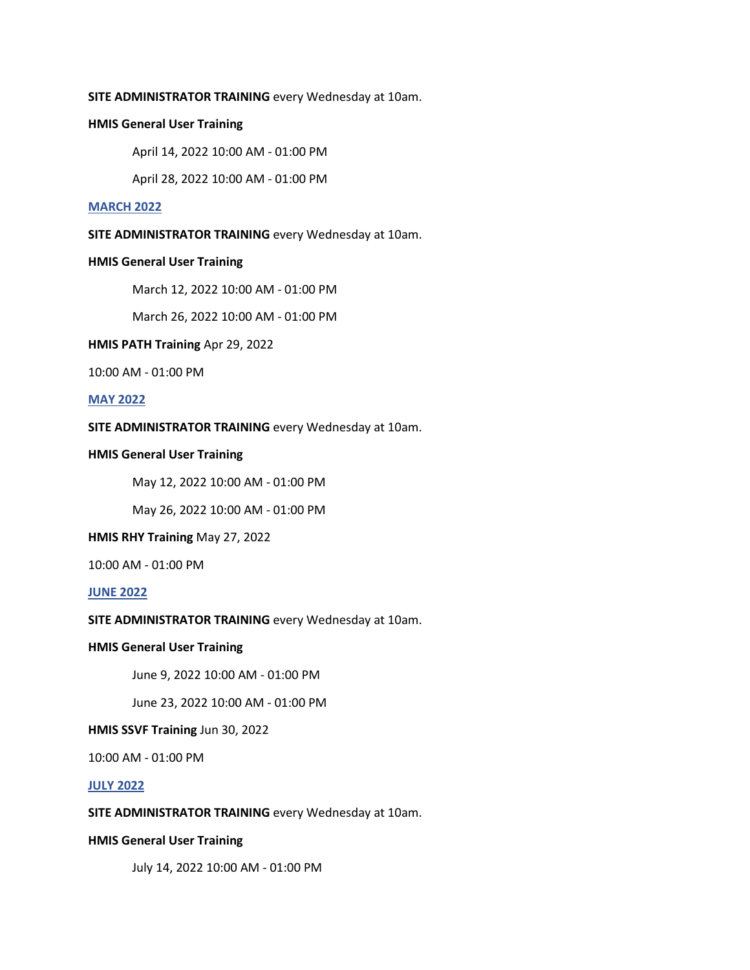# **SITE ADMINISTRATOR TRAINING** every Wednesday at 10am.

# **HMIS General User Training**

April 14, 2022 10:00 AM - 01:00 PM

April 28, 2022 10:00 AM - 01:00 PM

# **MARCH 2022**

**SITE ADMINISTRATOR TRAINING** every Wednesday at 10am.

# **HMIS General User Training**

March 12, 2022 10:00 AM - 01:00 PM

March 26, 2022 10:00 AM - 01:00 PM

# **HMIS PATH Training** Apr 29, 2022

10:00 AM - 01:00 PM

# **MAY 2022**

# **SITE ADMINISTRATOR TRAINING** every Wednesday at 10am.

# **HMIS General User Training**

May 12, 2022 10:00 AM - 01:00 PM

May 26, 2022 10:00 AM - 01:00 PM

#### **HMIS RHY Training** May 27, 2022

10:00 AM - 01:00 PM

# **JUNE 2022**

# **SITE ADMINISTRATOR TRAINING** every Wednesday at 10am.

# **HMIS General User Training**

June 9, 2022 10:00 AM - 01:00 PM

June 23, 2022 10:00 AM - 01:00 PM

# **HMIS SSVF Training** Jun 30, 2022

10:00 AM - 01:00 PM

## **JULY 2022**

**SITE ADMINISTRATOR TRAINING** every Wednesday at 10am.

# **HMIS General User Training**

July 14, 2022 10:00 AM - 01:00 PM